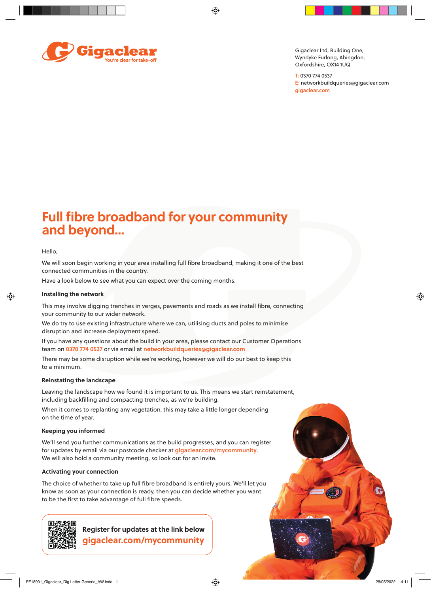⊕



Gigaclear Ltd, Building One, Wyndyke Furlong, Abingdon, Oxfordshire, OX14 1UQ

T: 0370 774 0537 E: networkbuildqueries@gigaclear.com gigaclear.com

# **Full fibre broadband for your community and beyond…**

### Hello,

◈

We will soon begin working in your area installing full fibre broadband, making it one of the best connected communities in the country.

Have a look below to see what you can expect over the coming months.

#### **Installing the network**

This may involve digging trenches in verges, pavements and roads as we install fibre, connecting your community to our wider network.

We do try to use existing infrastructure where we can, utilising ducts and poles to minimise disruption and increase deployment speed.

If you have any questions about the build in your area, please contact our Customer Operations team on 0370 774 0537 or via email at networkbuildqueries@gigaclear.com

There may be some disruption while we're working, however we will do our best to keep this to a minimum.

#### **Reinstating the landscape**

Leaving the landscape how we found it is important to us. This means we start reinstatement, including backfilling and compacting trenches, as we're building.

When it comes to replanting any vegetation, this may take a little longer depending on the time of year.

## **Keeping you informed**

We'll send you further communications as the build progresses, and you can register for updates by email via our postcode checker at gigaclear.com/mycommunity. We will also hold a community meeting, so look out for an invite.

#### **Activating your connection**

The choice of whether to take up full fibre broadband is entirely yours. We'll let you know as soon as your connection is ready, then you can decide whether you want to be the first to take advantage of full fibre speeds.



**gigaclear.com/mycommunity Register for updates at the link below** ◈